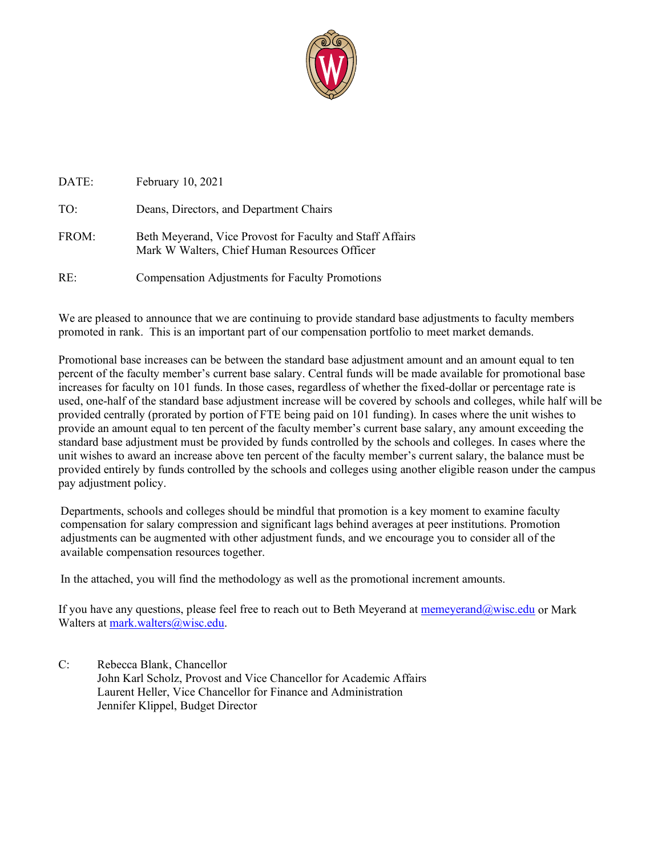

| DATE: | February 10, 2021                                                                                          |
|-------|------------------------------------------------------------------------------------------------------------|
| TO:   | Deans, Directors, and Department Chairs                                                                    |
| FROM: | Beth Meyerand, Vice Provost for Faculty and Staff Affairs<br>Mark W Walters, Chief Human Resources Officer |
| RE:   | <b>Compensation Adjustments for Faculty Promotions</b>                                                     |

We are pleased to announce that we are continuing to provide standard base adjustments to faculty members promoted in rank. This is an important part of our compensation portfolio to meet market demands.

Promotional base increases can be between the standard base adjustment amount and an amount equal to ten percent of the faculty member's current base salary. Central funds will be made available for promotional base increases for faculty on 101 funds. In those cases, regardless of whether the fixed-dollar or percentage rate is used, one-half of the standard base adjustment increase will be covered by schools and colleges, while half will be provided centrally (prorated by portion of FTE being paid on 101 funding). In cases where the unit wishes to provide an amount equal to ten percent of the faculty member's current base salary, any amount exceeding the standard base adjustment must be provided by funds controlled by the schools and colleges. In cases where the unit wishes to award an increase above ten percent of the faculty member's current salary, the balance must be provided entirely by funds controlled by the schools and colleges using another eligible reason under the campus pay adjustment policy.

Departments, schools and colleges should be mindful that promotion is a key moment to examine faculty compensation for salary compression and significant lags behind averages at peer institutions. Promotion adjustments can be augmented with other adjustment funds, and we encourage you to consider all of the available compensation resources together.

In the attached, you will find the methodology as well as the promotional increment amounts.

If you have any questions, please feel free to reach out to Beth Meyerand at memeyerand  $@$ wisc.edu or Mark Walters at mark.walters@wisc.edu.

C: Rebecca Blank, Chancellor John Karl Scholz, Provost and Vice Chancellor for Academic Affairs Laurent Heller, Vice Chancellor for Finance and Administration Jennifer Klippel, Budget Director